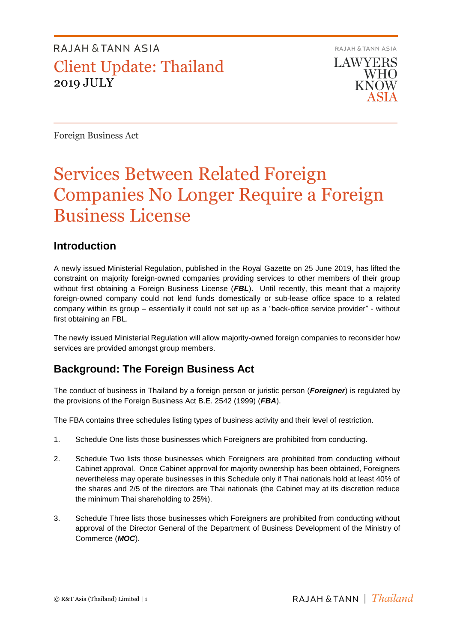**RAJAH & TANN ASIA LAWYERS** WHO **KNOW** 

Foreign Business Act

# Services Between Related Foreign Companies No Longer Require a Foreign Business License

### **Introduction**

A newly issued Ministerial Regulation, published in the Royal Gazette on 25 June 2019, has lifted the constraint on majority foreign-owned companies providing services to other members of their group without first obtaining a Foreign Business License (*FBL*). Until recently, this meant that a majority foreign-owned company could not lend funds domestically or sub-lease office space to a related company within its group – essentially it could not set up as a "back-office service provider" - without first obtaining an FBL.

The newly issued Ministerial Regulation will allow majority-owned foreign companies to reconsider how services are provided amongst group members.

### **Background: The Foreign Business Act**

The conduct of business in Thailand by a foreign person or juristic person (*Foreigner*) is regulated by the provisions of the Foreign Business Act B.E. 2542 (1999) (*FBA*).

The FBA contains three schedules listing types of business activity and their level of restriction.

- 1. Schedule One lists those businesses which Foreigners are prohibited from conducting.
- 2. Schedule Two lists those businesses which Foreigners are prohibited from conducting without Cabinet approval. Once Cabinet approval for majority ownership has been obtained, Foreigners nevertheless may operate businesses in this Schedule only if Thai nationals hold at least 40% of the shares and 2/5 of the directors are Thai nationals (the Cabinet may at its discretion reduce the minimum Thai shareholding to 25%).
- 3. Schedule Three lists those businesses which Foreigners are prohibited from conducting without approval of the Director General of the Department of Business Development of the Ministry of Commerce (*MOC*).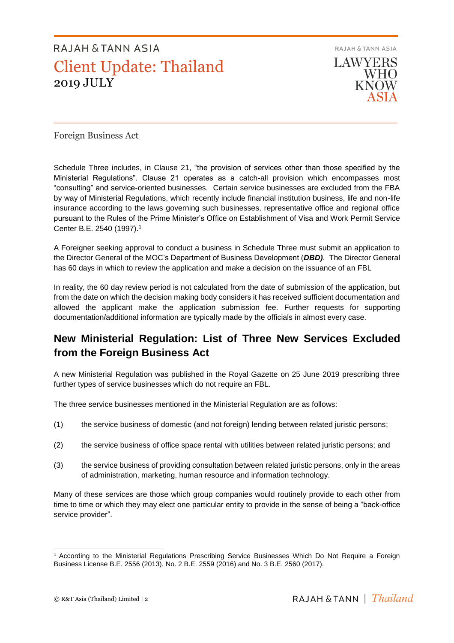RAJAH & TANN ASIA **LAWYERS WHO KNOW** 

Foreign Business Act

Schedule Three includes, in Clause 21, "the provision of services other than those specified by the Ministerial Regulations". Clause 21 operates as a catch-all provision which encompasses most "consulting" and service-oriented businesses. Certain service businesses are excluded from the FBA by way of Ministerial Regulations, which recently include financial institution business, life and non-life insurance according to the laws governing such businesses, representative office and regional office pursuant to the Rules of the Prime Minister's Office on Establishment of Visa and Work Permit Service Center B.E. 2540 (1997).<sup>1</sup>

A Foreigner seeking approval to conduct a business in Schedule Three must submit an application to the Director General of the MOC's Department of Business Development (*DBD)*. The Director General has 60 days in which to review the application and make a decision on the issuance of an FBL

In reality, the 60 day review period is not calculated from the date of submission of the application, but from the date on which the decision making body considers it has received sufficient documentation and allowed the applicant make the application submission fee. Further requests for supporting documentation/additional information are typically made by the officials in almost every case.

### **New Ministerial Regulation: List of Three New Services Excluded from the Foreign Business Act**

A new Ministerial Regulation was published in the Royal Gazette on 25 June 2019 prescribing three further types of service businesses which do not require an FBL.

The three service businesses mentioned in the Ministerial Regulation are as follows:

- (1) the service business of domestic (and not foreign) lending between related juristic persons;
- (2) the service business of office space rental with utilities between related juristic persons; and
- (3) the service business of providing consultation between related juristic persons, only in the areas of administration, marketing, human resource and information technology.

Many of these services are those which group companies would routinely provide to each other from time to time or which they may elect one particular entity to provide in the sense of being a "back-office service provider".

j <sup>1</sup> According to the Ministerial Regulations Prescribing Service Businesses Which Do Not Require a Foreign Business License B.E. 2556 (2013), No. 2 B.E. 2559 (2016) and No. 3 B.E. 2560 (2017).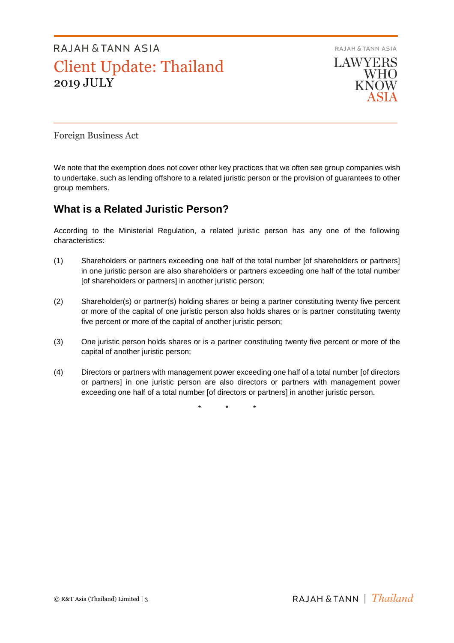

Foreign Business Act

We note that the exemption does not cover other key practices that we often see group companies wish to undertake, such as lending offshore to a related juristic person or the provision of guarantees to other group members.

### **What is a Related Juristic Person?**

According to the Ministerial Regulation, a related juristic person has any one of the following characteristics:

- (1) Shareholders or partners exceeding one half of the total number [of shareholders or partners] in one juristic person are also shareholders or partners exceeding one half of the total number [of shareholders or partners] in another juristic person;
- (2) Shareholder(s) or partner(s) holding shares or being a partner constituting twenty five percent or more of the capital of one juristic person also holds shares or is partner constituting twenty five percent or more of the capital of another juristic person;
- (3) One juristic person holds shares or is a partner constituting twenty five percent or more of the capital of another juristic person;
- (4) Directors or partners with management power exceeding one half of a total number [of directors or partners] in one juristic person are also directors or partners with management power exceeding one half of a total number [of directors or partners] in another juristic person.

\* \* \*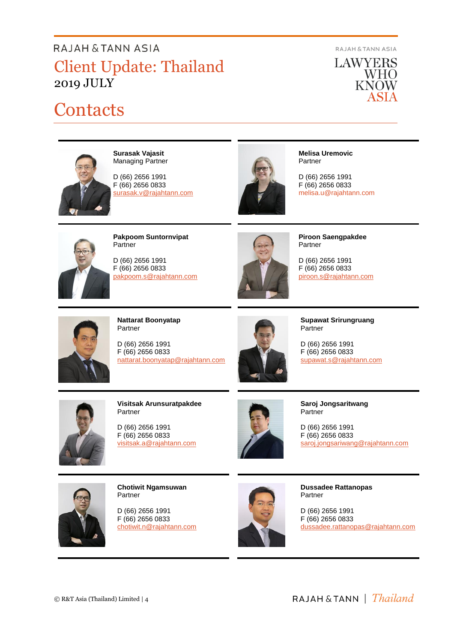# **Contacts**



**Surasak Vajasit** Managing Partner

D (66) 2656 1991 F (66) 2656 0833 surasak.v@rajahtann.com



**Melisa Uremovic** Partner

D (66) 2656 1991 F (66) 2656 0833 melisa.u@rajahtann.com



**Pakpoom Suntornvipat** Partner

D (66) 2656 1991 F (66) 2656 0833 pakpoom.s@rajahtann.com



**Piroon Saengpakdee** Partner

D (66) 2656 1991 F (66) 2656 0833 piroon.s@rajahtann.com



**Nattarat Boonyatap** Partner

D (66) 2656 1991 F (66) 2656 0833 nattarat.boonyatap@rajahtann.com



**Supawat Srirungruang** Partner

D (66) 2656 1991 F (66) 2656 0833 [supawat.s@rajahtann.com](mailto:supawat.s@rajahtann.com)



**Visitsak Arunsuratpakdee** Partner

D (66) 2656 1991 F (66) 2656 0833 [visitsak.a@rajahtann.com](mailto:visitsak.a@rajahtann.com)



**Saroj Jongsaritwang** Partner

D (66) 2656 1991 F (66) 2656 0833 [saroj.jongsariwang@rajahtann.com](mailto:saroj.jongsariwang@rajahtann.com)



**Chotiwit Ngamsuwan** Partner

D (66) 2656 1991 F (66) 2656 0833 chotiwit.n@rajahtann.com



**Dussadee Rattanopas** Partner

D (66) 2656 1991 F (66) 2656 0833 dussadee.rattanopas@rajahtann.com

**RAJAH & TANN ASIA** 

**LAWYERS** WHO **KNOW** ASIA

RAJAH & TANN | *Thailand*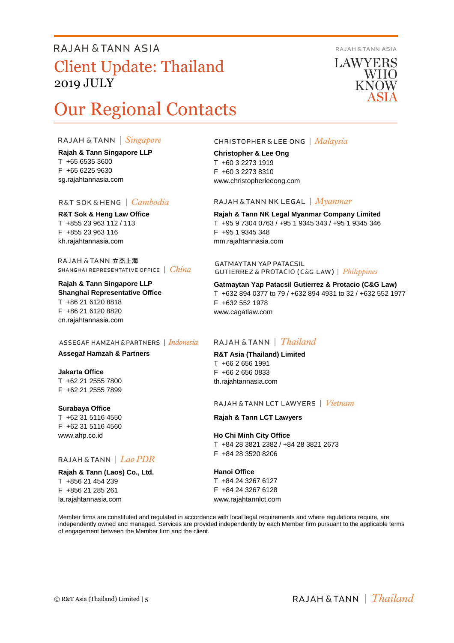# Our Regional Contacts

#### RAJAH & TANN | Singapore

**Rajah & Tann Singapore LLP** T +65 6535 3600 F +65 6225 9630 sg.rajahtannasia.com

#### R&T SOK & HENG | Cambodia

**R&T Sok & Heng Law Office** T +855 23 963 112 / 113 F +855 23 963 116 kh.rajahtannasia.com

RAJAH & TANN 立杰上海 SHANGHAI REPRESENTATIVE OFFICE | China

**Rajah & Tann Singapore LLP Shanghai Representative Office** T +86 21 6120 8818 F +86 21 6120 8820 cn.rajahtannasia.com

#### ASSEGAF HAMZAH & PARTNERS | Indonesia

**Assegaf Hamzah & Partners**

**Jakarta Office** T +62 21 2555 7800 F +62 21 2555 7899

#### **Surabaya Office**

T +62 31 5116 4550 F +62 31 5116 4560 www.ahp.co.id

#### RAJAH & TANN | Lao PDR

**Rajah & Tann (Laos) Co., Ltd.** T +856 21 454 239 F +856 21 285 261 la.rajahtannasia.com

#### **CHRISTOPHER & LEE ONG** | Malaysia

**Christopher & Lee Ong** T +60 3 2273 1919 F +60 3 2273 8310 www.christopherleeong.com

#### RAJAH & TANN NK LEGAL | *Myanmar*

**Rajah & Tann NK Legal Myanmar Company Limited** T +95 9 7304 0763 / +95 1 9345 343 / +95 1 9345 346 F +95 1 9345 348 mm.rajahtannasia.com

**GATMAYTAN YAP PATACSIL GUTIERREZ & PROTACIO (C&G LAW)** | *Philippines* 

**Gatmaytan Yap Patacsil Gutierrez & Protacio (C&G Law)**  T +632 894 0377 to 79 / +632 894 4931 to 32 / +632 552 1977 F +632 552 1978 www.cagatlaw.com

#### RAJAH & TANN | Thailand

#### **R&T Asia (Thailand) Limited** T +66 2 656 1991 F +66 2 656 0833 th.rajahtannasia.com

RAJAH & TANN LCT LAWYERS | Vietnam

#### **Rajah & Tann LCT Lawyers**

**Ho Chi Minh City Office**

T +84 28 3821 2382 / +84 28 3821 2673 F +84 28 3520 8206

#### **Hanoi Office**

T +84 24 3267 6127 F +84 24 3267 6128 www.rajahtannlct.com

Member firms are constituted and regulated in accordance with local legal requirements and where regulations require, are independently owned and managed. Services are provided independently by each Member firm pursuant to the applicable terms of engagement between the Member firm and the client.



### **RAJAH & TANN ASIA**